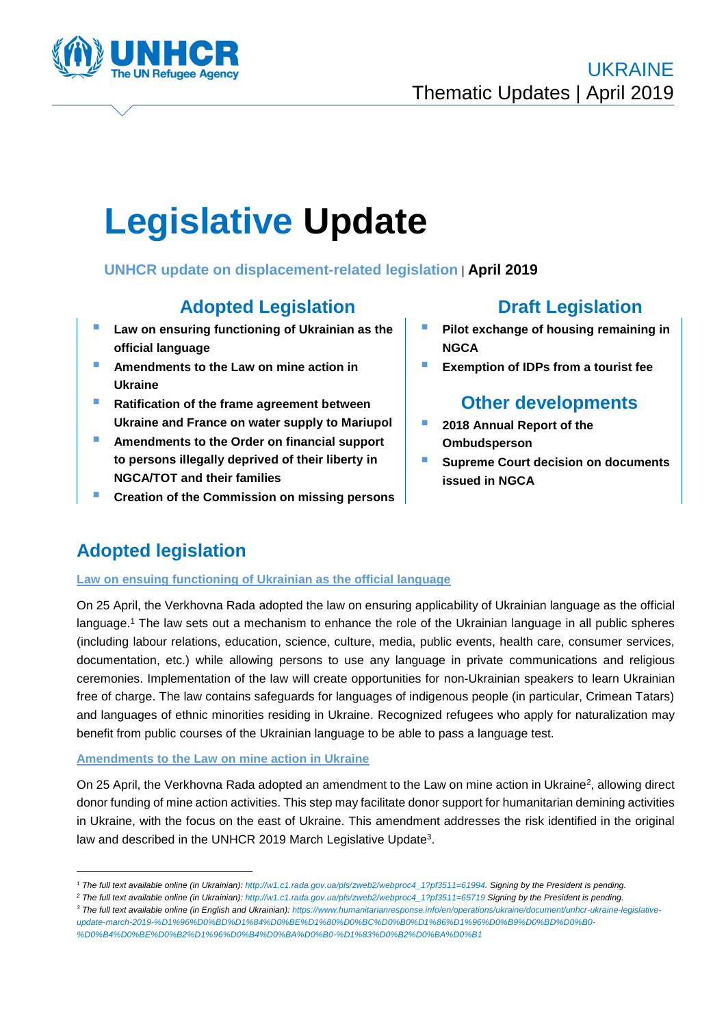

# **Legislative Update**

## **UNHCR update on displacement-related legislation** | **April 2019**

# **Adopted Legislation Draft Legislation**

- **Law on ensuring functioning of Ukrainian as the official language**
- **Amendments to the Law on mine action in Ukraine**
- **Ratification of the frame agreement between Ukraine and France on water supply to Mariupol**
- **Amendments to the Order on financial support to persons illegally deprived of their liberty in NGCA/TOT and their families**
- **Creation of the Commission on missing persons**

- **Pilot exchange of housing remaining in NGCA**
- **Exemption of IDPs from a tourist fee**

# **Other developments**

- **2018 Annual Report of the Ombudsperson**
- **Supreme Court decision on documents issued in NGCA**

# **Adopted legislation**

<u>.</u>

#### **Law on ensuing functioning of Ukrainian as the official language**

On 25 April, the Verkhovna Rada adopted the law on ensuring applicability of Ukrainian language as the official language.<sup>1</sup> The law sets out a mechanism to enhance the role of the Ukrainian language in all public spheres (including labour relations, education, science, culture, media, public events, health care, consumer services, documentation, etc.) while allowing persons to use any language in private communications and religious ceremonies. Implementation of the law will create opportunities for non-Ukrainian speakers to learn Ukrainian free of charge. The law contains safeguards for languages of indigenous people (in particular, Crimean Tatars) and languages of ethnic minorities residing in Ukraine. Recognized refugees who apply for naturalization may benefit from public courses of the Ukrainian language to be able to pass a language test.

#### **Amendments to the Law on mine action in Ukraine**

On 25 April, the Verkhovna Rada adopted an amendment to the Law on mine action in Ukraine<sup>2</sup>, allowing direct donor funding of mine action activities. This step may facilitate donor support for humanitarian demining activities in Ukraine, with the focus on the east of Ukraine. This amendment addresses the risk identified in the original law and described in the UNHCR 2019 March Legislative Update<sup>3</sup>.

*<sup>1</sup> The full text available online (in Ukrainian)[: http://w1.c1.rada.gov.ua/pls/zweb2/webproc4\\_1?pf3511=61994.](http://w1.c1.rada.gov.ua/pls/zweb2/webproc4_1?pf3511=61994) Signing by the President is pending.*

*<sup>2</sup> The full text available online (in Ukrainian)[: http://w1.c1.rada.gov.ua/pls/zweb2/webproc4\\_1?pf3511=65719](http://w1.c1.rada.gov.ua/pls/zweb2/webproc4_1?pf3511=65719) Signing by the President is pending.*

*<sup>3</sup> The full text available online (in English and Ukrainian): [https://www.humanitarianresponse.info/en/operations/ukraine/document/unhcr-ukraine-legislative](https://www.humanitarianresponse.info/en/operations/ukraine/document/unhcr-ukraine-legislative-update-march-2019-%D1%96%D0%BD%D1%84%D0%BE%D1%80%D0%BC%D0%B0%D1%86%D1%96%D0%B9%D0%BD%D0%B0-%D0%B4%D0%BE%D0%B2%D1%96%D0%B4%D0%BA%D0%B0-%D1%83%D0%B2%D0%BA%D0%B1)[update-march-2019-%D1%96%D0%BD%D1%84%D0%BE%D1%80%D0%BC%D0%B0%D1%86%D1%96%D0%B9%D0%BD%D0%B0-](https://www.humanitarianresponse.info/en/operations/ukraine/document/unhcr-ukraine-legislative-update-march-2019-%D1%96%D0%BD%D1%84%D0%BE%D1%80%D0%BC%D0%B0%D1%86%D1%96%D0%B9%D0%BD%D0%B0-%D0%B4%D0%BE%D0%B2%D1%96%D0%B4%D0%BA%D0%B0-%D1%83%D0%B2%D0%BA%D0%B1) [%D0%B4%D0%BE%D0%B2%D1%96%D0%B4%D0%BA%D0%B0-%D1%83%D0%B2%D0%BA%D0%B1](https://www.humanitarianresponse.info/en/operations/ukraine/document/unhcr-ukraine-legislative-update-march-2019-%D1%96%D0%BD%D1%84%D0%BE%D1%80%D0%BC%D0%B0%D1%86%D1%96%D0%B9%D0%BD%D0%B0-%D0%B4%D0%BE%D0%B2%D1%96%D0%B4%D0%BA%D0%B0-%D1%83%D0%B2%D0%BA%D0%B1)*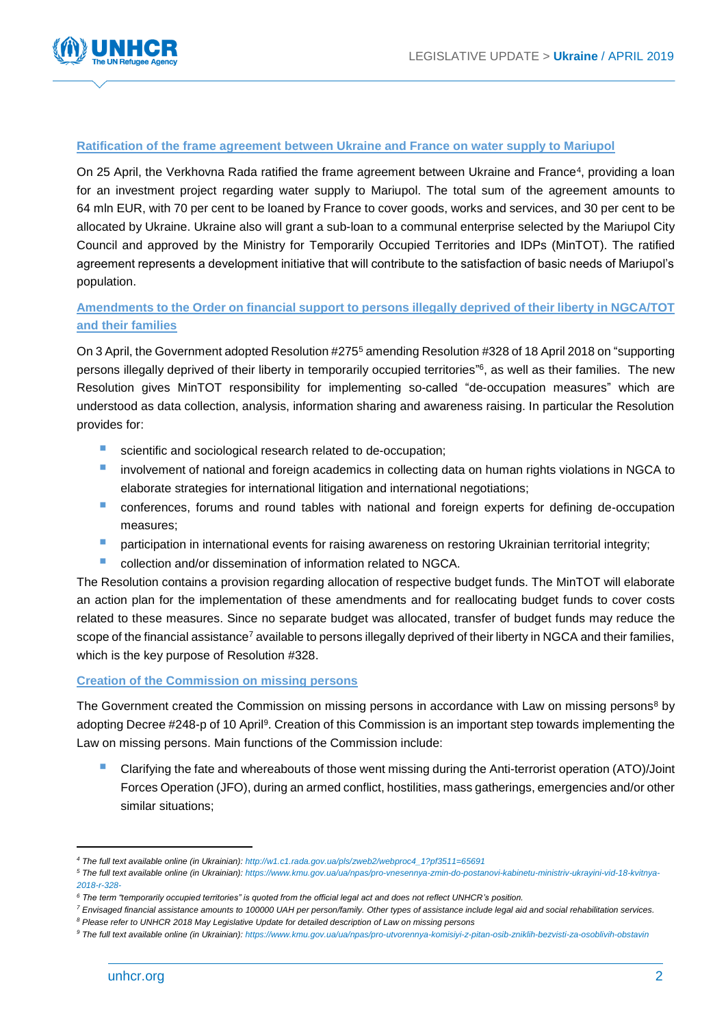

#### **Ratification of the frame agreement between Ukraine and France on water supply to Mariupol**

On 25 April, the Verkhovna Rada ratified the frame agreement between Ukraine and France<sup>4</sup>, providing a loan for an investment project regarding water supply to Mariupol. The total sum of the agreement amounts to 64 mln EUR, with 70 per cent to be loaned by France to cover goods, works and services, and 30 per cent to be allocated by Ukraine. Ukraine also will grant a sub-loan to a communal enterprise selected by the Mariupol City Council and approved by the Ministry for Temporarily Occupied Territories and IDPs (MinTOT). The ratified agreement represents a development initiative that will contribute to the satisfaction of basic needs of Mariupol's population.

### **Amendments to the Order on financial support to persons illegally deprived of their liberty in NGCA/TOT and their families**

On 3 April, the Government adopted Resolution #275<sup>5</sup> amending Resolution #328 of 18 April 2018 on "supporting persons illegally deprived of their liberty in temporarily occupied territories" 6 , as well as their families. The new Resolution gives MinTOT responsibility for implementing so-called "de-occupation measures" which are understood as data collection, analysis, information sharing and awareness raising. In particular the Resolution provides for:

- scientific and sociological research related to de-occupation;
- involvement of national and foreign academics in collecting data on human rights violations in NGCA to elaborate strategies for international litigation and international negotiations;
- conferences, forums and round tables with national and foreign experts for defining de-occupation measures;
- **P** participation in international events for raising awareness on restoring Ukrainian territorial integrity;
- **Collection and/or dissemination of information related to NGCA.**

The Resolution contains a provision regarding allocation of respective budget funds. The MinTOT will elaborate an action plan for the implementation of these amendments and for reallocating budget funds to cover costs related to these measures. Since no separate budget was allocated, transfer of budget funds may reduce the scope of the financial assistance<sup>7</sup> available to persons illegally deprived of their liberty in NGCA and their families, which is the key purpose of Resolution #328.

#### **Creation of the Commission on missing persons**

The Government created the Commission on missing persons in accordance with Law on missing persons<sup>8</sup> by adopting Decree #248-p of 10 April<sup>9</sup>. Creation of this Commission is an important step towards implementing the Law on missing persons. Main functions of the Commission include:

 Clarifying the fate and whereabouts of those went missing during the Anti-terrorist operation (ATO)/Joint Forces Operation (JFO), during an armed conflict, hostilities, mass gatherings, emergencies and/or other similar situations;

1

*<sup>4</sup> The full text available online (in Ukrainian): [http://w1.c1.rada.gov.ua/pls/zweb2/webproc4\\_1?pf3511=65691](http://w1.c1.rada.gov.ua/pls/zweb2/webproc4_1?pf3511=65691)*

*<sup>5</sup> The full text available online (in Ukrainian)[: https://www.kmu.gov.ua/ua/npas/pro-vnesennya-zmin-do-postanovi-kabinetu-ministriv-ukrayini-vid-18-kvitnya-](https://www.kmu.gov.ua/ua/npas/pro-vnesennya-zmin-do-postanovi-kabinetu-ministriv-ukrayini-vid-18-kvitnya-2018-r-328-)[2018-r-328-](https://www.kmu.gov.ua/ua/npas/pro-vnesennya-zmin-do-postanovi-kabinetu-ministriv-ukrayini-vid-18-kvitnya-2018-r-328-)*

*<sup>6</sup> The term "temporarily occupied territories" is quoted from the official legal act and does not reflect UNHCR's position.*

*<sup>7</sup> Envisaged financial assistance amounts to 100000 UAH per person/family. Other types of assistance include legal aid and social rehabilitation services.*

*<sup>8</sup> Please refer to UNHCR 2018 May Legislative Update for detailed description of Law on missing persons* 

*<sup>9</sup> The full text available online (in Ukrainian)[: https://www.kmu.gov.ua/ua/npas/pro-utvorennya-komisiyi-z-pitan-osib-zniklih-bezvisti-za-osoblivih-obstavin](https://www.kmu.gov.ua/ua/npas/pro-utvorennya-komisiyi-z-pitan-osib-zniklih-bezvisti-za-osoblivih-obstavin)*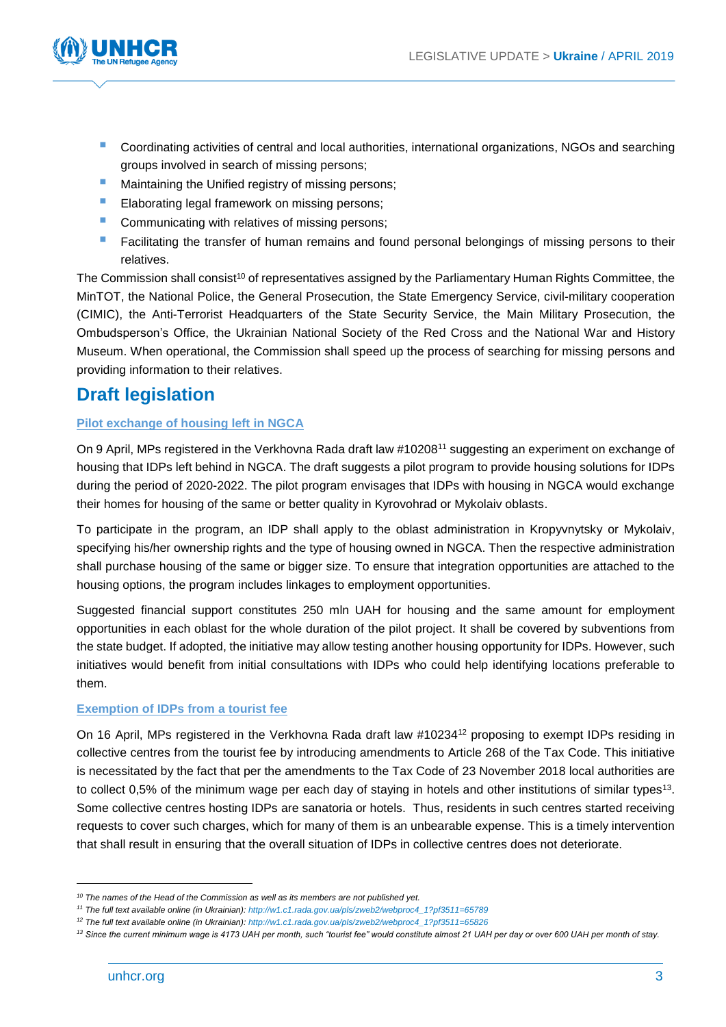

- Coordinating activities of central and local authorities, international organizations, NGOs and searching groups involved in search of missing persons;
- Maintaining the Unified registry of missing persons:
- **Elaborating legal framework on missing persons;**
- Communicating with relatives of missing persons;
- Facilitating the transfer of human remains and found personal belongings of missing persons to their relatives.

The Commission shall consist<sup>10</sup> of representatives assigned by the Parliamentary Human Rights Committee, the MinTOT, the National Police, the General Prosecution, the State Emergency Service, civil-military cooperation (CIMIC), the Anti-Terrorist Headquarters of the State Security Service, the Main Military Prosecution, the Ombudsperson's Office, the Ukrainian National Society of the Red Cross and the National War and History Museum. When operational, the Commission shall speed up the process of searching for missing persons and providing information to their relatives.

# **Draft legislation**

#### **Pilot exchange of housing left in NGCA**

On 9 April, MPs registered in the Verkhovna Rada draft law #10208<sup>11</sup> suggesting an experiment on exchange of housing that IDPs left behind in NGCA. The draft suggests a pilot program to provide housing solutions for IDPs during the period of 2020-2022. The pilot program envisages that IDPs with housing in NGCA would exchange their homes for housing of the same or better quality in Kyrovohrad or Mykolaiv oblasts.

To participate in the program, an IDP shall apply to the oblast administration in Kropyvnytsky or Mykolaiv, specifying his/her ownership rights and the type of housing owned in NGCA. Then the respective administration shall purchase housing of the same or bigger size. To ensure that integration opportunities are attached to the housing options, the program includes linkages to employment opportunities.

Suggested financial support constitutes 250 mln UAH for housing and the same amount for employment opportunities in each oblast for the whole duration of the pilot project. It shall be covered by subventions from the state budget. If adopted, the initiative may allow testing another housing opportunity for IDPs. However, such initiatives would benefit from initial consultations with IDPs who could help identifying locations preferable to them.

#### **Exemption of IDPs from a tourist fee**

On 16 April, MPs registered in the Verkhovna Rada draft law #10234<sup>12</sup> proposing to exempt IDPs residing in collective centres from the tourist fee by introducing amendments to Article 268 of the Tax Code. This initiative is necessitated by the fact that per the amendments to the Tax Code of 23 November 2018 local authorities are to collect 0,5% of the minimum wage per each day of staying in hotels and other institutions of similar types<sup>13</sup>. Some collective centres hosting IDPs are sanatoria or hotels. Thus, residents in such centres started receiving requests to cover such charges, which for many of them is an unbearable expense. This is a timely intervention that shall result in ensuring that the overall situation of IDPs in collective centres does not deteriorate.

1

*<sup>10</sup> The names of the Head of the Commission as well as its members are not published yet.*

*<sup>11</sup> The full text available online (in Ukrainian): [http://w1.c1.rada.gov.ua/pls/zweb2/webproc4\\_1?pf3511=65789](http://w1.c1.rada.gov.ua/pls/zweb2/webproc4_1?pf3511=65789)*

*<sup>12</sup> The full text available online (in Ukrainian): [http://w1.c1.rada.gov.ua/pls/zweb2/webproc4\\_1?pf3511=65826](http://w1.c1.rada.gov.ua/pls/zweb2/webproc4_1?pf3511=65826)*

*<sup>13</sup> Since the current minimum wage is 4173 UAH per month, such "tourist fee" would constitute almost 21 UAH per day or over 600 UAH per month of stay.*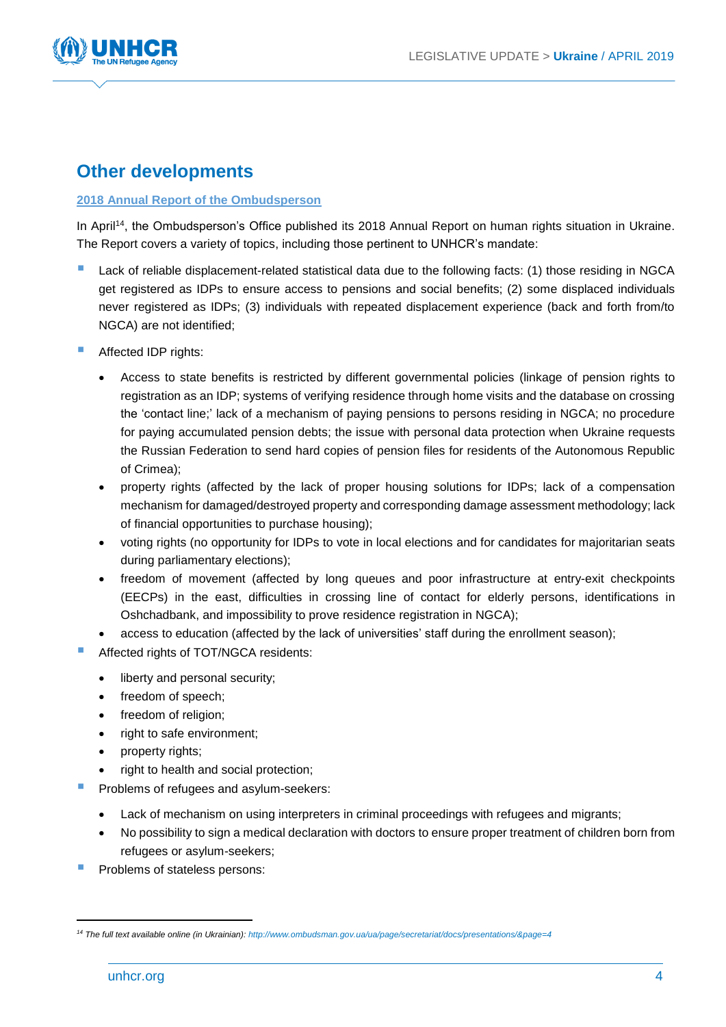

# **Other developments**

#### **2018 Annual Report of the Ombudsperson**

In April<sup>14</sup>, the Ombudsperson's Office published its 2018 Annual Report on human rights situation in Ukraine. The Report covers a variety of topics, including those pertinent to UNHCR's mandate:

- Lack of reliable displacement-related statistical data due to the following facts: (1) those residing in NGCA get registered as IDPs to ensure access to pensions and social benefits; (2) some displaced individuals never registered as IDPs; (3) individuals with repeated displacement experience (back and forth from/to NGCA) are not identified;
- Affected IDP rights:
	- Access to state benefits is restricted by different governmental policies (linkage of pension rights to registration as an IDP; systems of verifying residence through home visits and the database on crossing the 'contact line;' lack of a mechanism of paying pensions to persons residing in NGCA; no procedure for paying accumulated pension debts; the issue with personal data protection when Ukraine requests the Russian Federation to send hard copies of pension files for residents of the Autonomous Republic of Crimea);
	- property rights (affected by the lack of proper housing solutions for IDPs; lack of a compensation mechanism for damaged/destroyed property and corresponding damage assessment methodology; lack of financial opportunities to purchase housing);
	- voting rights (no opportunity for IDPs to vote in local elections and for candidates for majoritarian seats during parliamentary elections);
	- freedom of movement (affected by long queues and poor infrastructure at entry-exit checkpoints (EECPs) in the east, difficulties in crossing line of contact for elderly persons, identifications in Oshchadbank, and impossibility to prove residence registration in NGCA);
	- access to education (affected by the lack of universities' staff during the enrollment season);
	- Affected rights of TOT/NGCA residents:
		- liberty and personal security;
		- freedom of speech;
		- freedom of religion:
		- right to safe environment;
		- property rights;
		- right to health and social protection;
- Problems of refugees and asylum-seekers:
	- Lack of mechanism on using interpreters in criminal proceedings with refugees and migrants;
	- No possibility to sign a medical declaration with doctors to ensure proper treatment of children born from refugees or asylum-seekers;
- Problems of stateless persons:

-

*<sup>14</sup> The full text available online (in Ukrainian): <http://www.ombudsman.gov.ua/ua/page/secretariat/docs/presentations/&page=4>*